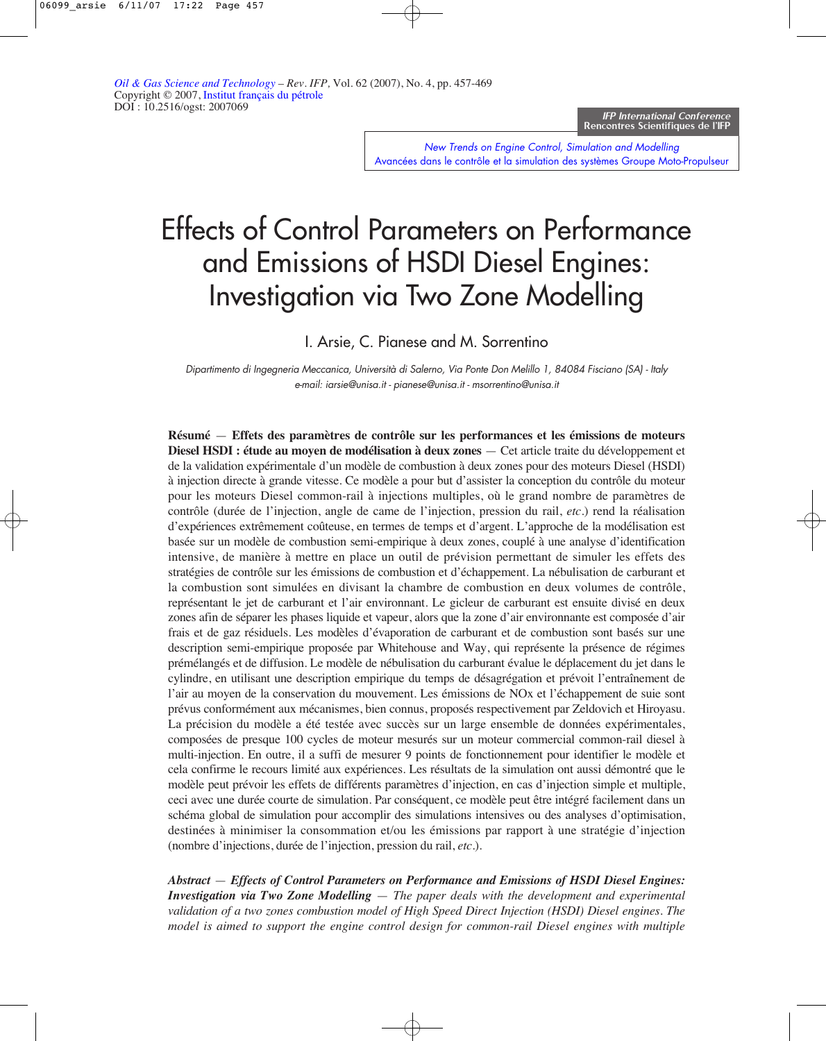IFP International Conference Rencontres Scientifiques de l'IFP

New Trends on Engine Control, Simulation and Modelling [Avancées dans le contrôle et la simulation des systèmes Groupe Moto-Propulseur](http://ogst.ifp.fr/index.php?option=toc&url=/articles/ogst/abs/2007/04/contents/contents.html)

# Effects of Control Parameters on Performance and Emissions of HSDI Diesel Engines: Investigation via Two Zone Modelling

I. Arsie, C. Pianese and M. Sorrentino

Dipartimento di Ingegneria Meccanica, Università di Salerno, Via Ponte Don Melillo 1, 84084 Fisciano (SA) - Italy e-mail: iarsie@unisa.it - pianese@unisa.it - msorrentino@unisa.it

**Résumé** — **Effets des paramètres de contrôle sur les performances et les émissions de moteurs Diesel HSDI : étude au moyen de modélisation à deux zones** — Cet article traite du développement et de la validation expérimentale d'un modèle de combustion à deux zones pour des moteurs Diesel (HSDI) à injection directe à grande vitesse. Ce modèle a pour but d'assister la conception du contrôle du moteur pour les moteurs Diesel common-rail à injections multiples, où le grand nombre de paramètres de contrôle (durée de l'injection, angle de came de l'injection, pression du rail, *etc.*) rend la réalisation d'expériences extrêmement coûteuse, en termes de temps et d'argent. L'approche de la modélisation est basée sur un modèle de combustion semi-empirique à deux zones, couplé à une analyse d'identification intensive, de manière à mettre en place un outil de prévision permettant de simuler les effets des stratégies de contrôle sur les émissions de combustion et d'échappement. La nébulisation de carburant et la combustion sont simulées en divisant la chambre de combustion en deux volumes de contrôle, représentant le jet de carburant et l'air environnant. Le gicleur de carburant est ensuite divisé en deux zones afin de séparer les phases liquide et vapeur, alors que la zone d'air environnante est composée d'air frais et de gaz résiduels. Les modèles d'évaporation de carburant et de combustion sont basés sur une description semi-empirique proposée par Whitehouse and Way, qui représente la présence de régimes prémélangés et de diffusion. Le modèle de nébulisation du carburant évalue le déplacement du jet dans le cylindre, en utilisant une description empirique du temps de désagrégation et prévoit l'entraînement de l'air au moyen de la conservation du mouvement. Les émissions de NOx et l'échappement de suie sont prévus conformément aux mécanismes, bien connus, proposés respectivement par Zeldovich et Hiroyasu. La précision du modèle a été testée avec succès sur un large ensemble de données expérimentales, composées de presque 100 cycles de moteur mesurés sur un moteur commercial common-rail diesel à multi-injection. En outre, il a suffi de mesurer 9 points de fonctionnement pour identifier le modèle et cela confirme le recours limité aux expériences. Les résultats de la simulation ont aussi démontré que le modèle peut prévoir les effets de différents paramètres d'injection, en cas d'injection simple et multiple, ceci avec une durée courte de simulation. Par conséquent, ce modèle peut être intégré facilement dans un schéma global de simulation pour accomplir des simulations intensives ou des analyses d'optimisation, destinées à minimiser la consommation et/ou les émissions par rapport à une stratégie d'injection (nombre d'injections, durée de l'injection, pression du rail, *etc.*).

*Abstract* — *Effects of Control Parameters on Performance and Emissions of HSDI Diesel Engines: Investigation via Two Zone Modelling* — *The paper deals with the development and experimental validation of a two zones combustion model of High Speed Direct Injection (HSDI) Diesel engines. The model is aimed to support the engine control design for common-rail Diesel engines with multiple*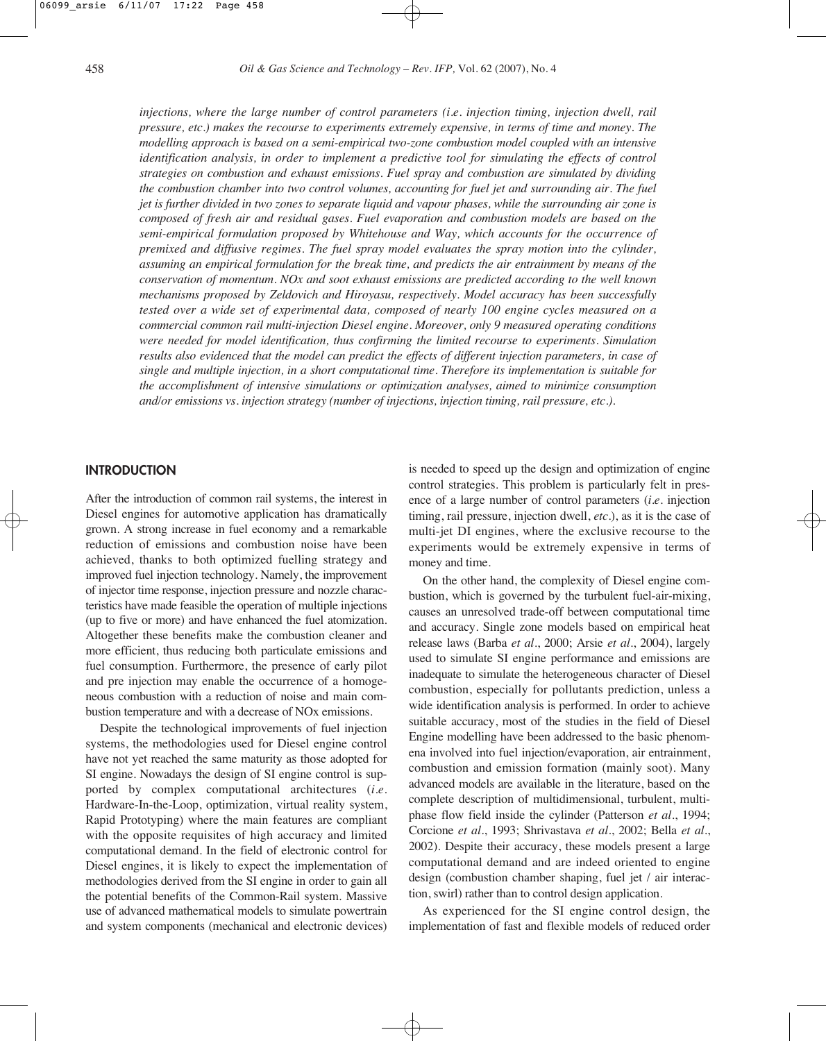*injections, where the large number of control parameters (i.e. injection timing, injection dwell, rail pressure, etc.) makes the recourse to experiments extremely expensive, in terms of time and money. The modelling approach is based on a semi-empirical two-zone combustion model coupled with an intensive identification analysis, in order to implement a predictive tool for simulating the effects of control strategies on combustion and exhaust emissions. Fuel spray and combustion are simulated by dividing the combustion chamber into two control volumes, accounting for fuel jet and surrounding air. The fuel jet is further divided in two zones to separate liquid and vapour phases, while the surrounding air zone is composed of fresh air and residual gases. Fuel evaporation and combustion models are based on the semi-empirical formulation proposed by Whitehouse and Way, which accounts for the occurrence of premixed and diffusive regimes. The fuel spray model evaluates the spray motion into the cylinder, assuming an empirical formulation for the break time, and predicts the air entrainment by means of the conservation of momentum. NOx and soot exhaust emissions are predicted according to the well known mechanisms proposed by Zeldovich and Hiroyasu, respectively. Model accuracy has been successfully tested over a wide set of experimental data, composed of nearly 100 engine cycles measured on a commercial common rail multi-injection Diesel engine. Moreover, only 9 measured operating conditions were needed for model identification, thus confirming the limited recourse to experiments. Simulation results also evidenced that the model can predict the effects of different injection parameters, in case of single and multiple injection, in a short computational time. Therefore its implementation is suitable for the accomplishment of intensive simulations or optimization analyses, aimed to minimize consumption and/or emissions vs. injection strategy (number of injections, injection timing, rail pressure, etc.).*

# **INTRODUCTION**

After the introduction of common rail systems, the interest in Diesel engines for automotive application has dramatically grown. A strong increase in fuel economy and a remarkable reduction of emissions and combustion noise have been achieved, thanks to both optimized fuelling strategy and improved fuel injection technology. Namely, the improvement of injector time response, injection pressure and nozzle characteristics have made feasible the operation of multiple injections (up to five or more) and have enhanced the fuel atomization. Altogether these benefits make the combustion cleaner and more efficient, thus reducing both particulate emissions and fuel consumption. Furthermore, the presence of early pilot and pre injection may enable the occurrence of a homogeneous combustion with a reduction of noise and main combustion temperature and with a decrease of NOx emissions.

Despite the technological improvements of fuel injection systems, the methodologies used for Diesel engine control have not yet reached the same maturity as those adopted for SI engine. Nowadays the design of SI engine control is supported by complex computational architectures (*i*.*e*. Hardware-In-the-Loop, optimization, virtual reality system, Rapid Prototyping) where the main features are compliant with the opposite requisites of high accuracy and limited computational demand. In the field of electronic control for Diesel engines, it is likely to expect the implementation of methodologies derived from the SI engine in order to gain all the potential benefits of the Common-Rail system. Massive use of advanced mathematical models to simulate powertrain and system components (mechanical and electronic devices) is needed to speed up the design and optimization of engine control strategies. This problem is particularly felt in presence of a large number of control parameters (*i*.*e*. injection timing, rail pressure, injection dwell, *etc*.), as it is the case of multi-jet DI engines, where the exclusive recourse to the experiments would be extremely expensive in terms of money and time.

On the other hand, the complexity of Diesel engine combustion, which is governed by the turbulent fuel-air-mixing, causes an unresolved trade-off between computational time and accuracy. Single zone models based on empirical heat release laws (Barba *et al*., 2000; Arsie *et al*., 2004), largely used to simulate SI engine performance and emissions are inadequate to simulate the heterogeneous character of Diesel combustion, especially for pollutants prediction, unless a wide identification analysis is performed. In order to achieve suitable accuracy, most of the studies in the field of Diesel Engine modelling have been addressed to the basic phenomena involved into fuel injection/evaporation, air entrainment, combustion and emission formation (mainly soot). Many advanced models are available in the literature, based on the complete description of multidimensional, turbulent, multiphase flow field inside the cylinder (Patterson *et al*., 1994; Corcione *et al*., 1993; Shrivastava *et al*., 2002; Bella *et al*., 2002). Despite their accuracy, these models present a large computational demand and are indeed oriented to engine design (combustion chamber shaping, fuel jet / air interaction, swirl) rather than to control design application.

As experienced for the SI engine control design, the implementation of fast and flexible models of reduced order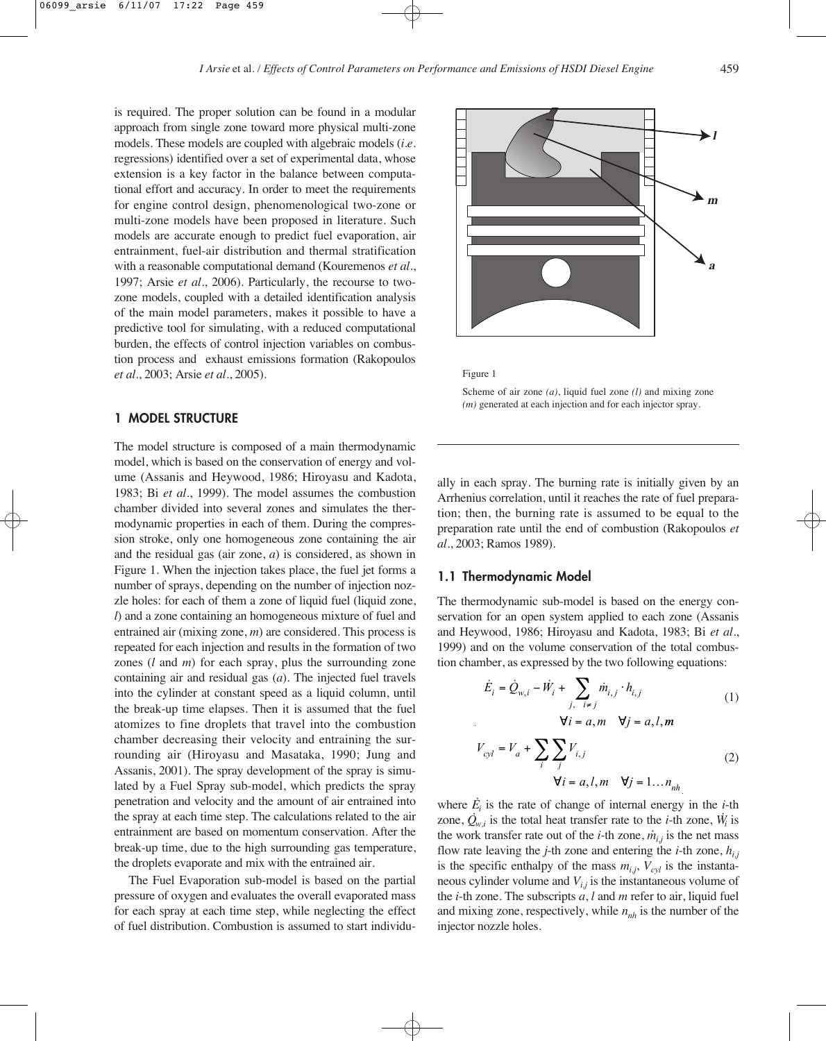is required. The proper solution can be found in a modular approach from single zone toward more physical multi-zone models. These models are coupled with algebraic models (*i*.*e*. regressions) identified over a set of experimental data, whose extension is a key factor in the balance between computational effort and accuracy. In order to meet the requirements for engine control design, phenomenological two-zone or multi-zone models have been proposed in literature. Such models are accurate enough to predict fuel evaporation, air entrainment, fuel-air distribution and thermal stratification with a reasonable computational demand (Kouremenos *et al*., 1997; Arsie *et al*., 2006). Particularly, the recourse to twozone models, coupled with a detailed identification analysis of the main model parameters, makes it possible to have a predictive tool for simulating, with a reduced computational burden, the effects of control injection variables on combustion process and exhaust emissions formation (Rakopoulos *et al*., 2003; Arsie *et al*., 2005).

# 1 MODEL STRUCTURE

The model structure is composed of a main thermodynamic model, which is based on the conservation of energy and volume (Assanis and Heywood, 1986; Hiroyasu and Kadota, 1983; Bi *et al*., 1999). The model assumes the combustion chamber divided into several zones and simulates the thermodynamic properties in each of them. During the compression stroke, only one homogeneous zone containing the air and the residual gas (air zone, *a*) is considered, as shown in Figure 1. When the injection takes place, the fuel jet forms a number of sprays, depending on the number of injection nozzle holes: for each of them a zone of liquid fuel (liquid zone, *l*) and a zone containing an homogeneous mixture of fuel and entrained air (mixing zone, *m*) are considered. This process is repeated for each injection and results in the formation of two zones (*l* and *m*) for each spray, plus the surrounding zone containing air and residual gas (*a*). The injected fuel travels into the cylinder at constant speed as a liquid column, until the break-up time elapses. Then it is assumed that the fuel atomizes to fine droplets that travel into the combustion chamber decreasing their velocity and entraining the surrounding air (Hiroyasu and Masataka, 1990; Jung and Assanis, 2001). The spray development of the spray is simulated by a Fuel Spray sub-model, which predicts the spray penetration and velocity and the amount of air entrained into the spray at each time step. The calculations related to the air entrainment are based on momentum conservation. After the break-up time, due to the high surrounding gas temperature, the droplets evaporate and mix with the entrained air.

The Fuel Evaporation sub-model is based on the partial pressure of oxygen and evaluates the overall evaporated mass for each spray at each time step, while neglecting the effect of fuel distribution. Combustion is assumed to start individu-





ally in each spray. The burning rate is initially given by an Arrhenius correlation, until it reaches the rate of fuel preparation; then, the burning rate is assumed to be equal to the preparation rate until the end of combustion (Rakopoulos *et al*., 2003; Ramos 1989).

#### 1.1 Thermodynamic Model

The thermodynamic sub-model is based on the energy conservation for an open system applied to each zone (Assanis and Heywood, 1986; Hiroyasu and Kadota, 1983; Bi *et al*., 1999) and on the volume conservation of the total combustion chamber, as expressed by the two following equations:

$$
\dot{E}_i = \dot{Q}_{w,i} - \dot{W}_i + \sum_{j, i \neq j} \dot{m}_{i,j} \cdot h_{i,j}
$$
\n
$$
\forall i = a, m \quad \forall j = a, l, m
$$
\n(1)

$$
V_{cyl} = V_a + \sum_{i} \sum_{j} V_{i,j}
$$
  

$$
\forall i = a, l, m \quad \forall j = 1...n_{nh}
$$
 (2)

where  $\vec{E}_i$  is the rate of change of internal energy in the *i*-th zone,  $\dot{Q}_{w,i}$  is the total heat transfer rate to the *i*-th zone,  $\dot{W}_i$  is the work transfer rate out of the *i*-th zone,  $\dot{m}_{i,j}$  is the net mass flow rate leaving the *j*-th zone and entering the *i*-th zone,  $h_{i,j}$ is the specific enthalpy of the mass  $m_{i,j}$ ,  $V_{cyl}$  is the instantaneous cylinder volume and  $V_{i,j}$  is the instantaneous volume of the *i*-th zone. The subscripts *a*, *l* and *m* refer to air, liquid fuel and mixing zone, respectively, while  $n_{nh}$  is the number of the injector nozzle holes.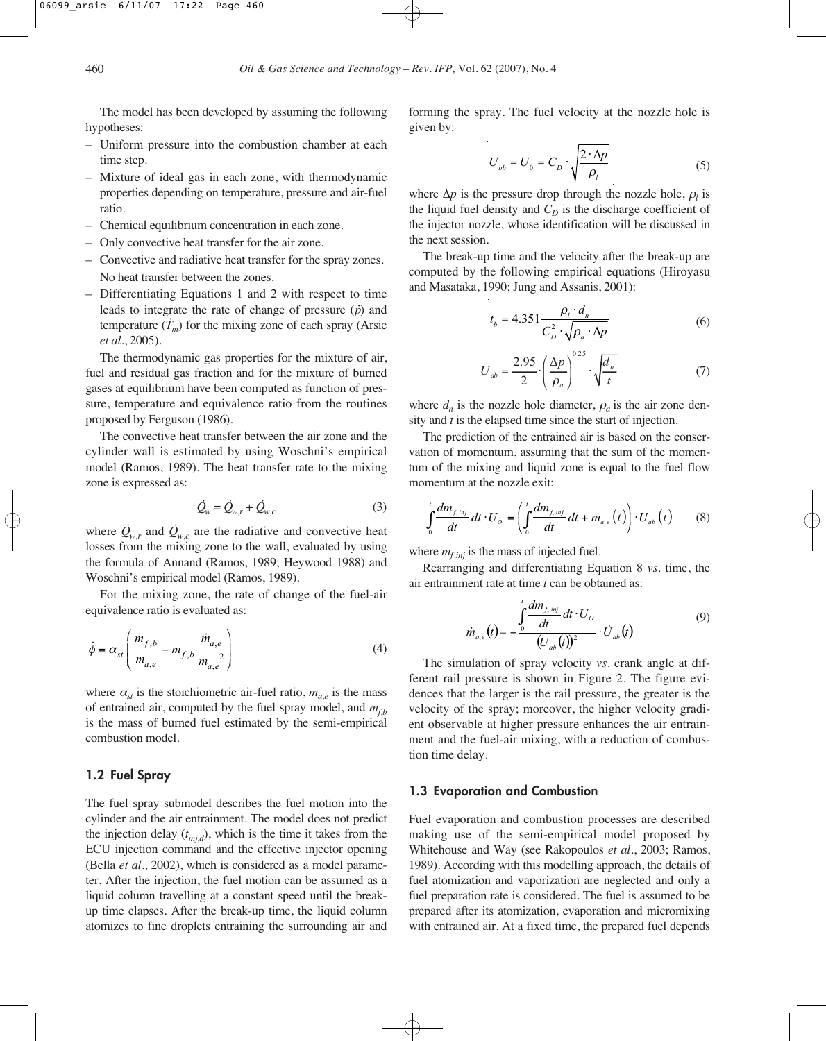The model has been developed by assuming the following hypotheses:

- Uniform pressure into the combustion chamber at each time step.
- Mixture of ideal gas in each zone, with thermodynamic properties depending on temperature, pressure and air-fuel ratio.
- Chemical equilibrium concentration in each zone.
- Only convective heat transfer for the air zone.
- Convective and radiative heat transfer for the spray zones. No heat transfer between the zones.
- Differentiating Equations 1 and 2 with respect to time leads to integrate the rate of change of pressure  $(\vec{p})$  and temperature  $(\dot{T}_m)$  for the mixing zone of each spray (Arsie *et al*., 2005).

The thermodynamic gas properties for the mixture of air, fuel and residual gas fraction and for the mixture of burned gases at equilibrium have been computed as function of pressure, temperature and equivalence ratio from the routines proposed by Ferguson (1986).

The convective heat transfer between the air zone and the cylinder wall is estimated by using Woschni's empirical model (Ramos, 1989). The heat transfer rate to the mixing zone is expressed as:

$$
\dot{Q}_w = \dot{Q}_{w,r} + \dot{Q}_{w,c} \tag{3}
$$

where  $\dot{Q}_{w,r}$  and  $\dot{Q}_{w,c}$  are the radiative and convective heat losses from the mixing zone to the wall, evaluated by using the formula of Annand (Ramos, 1989; Heywood 1988) and Woschni's empirical model (Ramos, 1989).

For the mixing zone, the rate of change of the fuel-air equivalence ratio is evaluated as:

$$
\dot{\phi} = \alpha_{st} \left( \frac{\dot{m}_{f,b}}{m_{a,e}} - m_{f,b} \frac{\dot{m}_{a,e}}{m_{a,e}} \right)
$$
(4)

where  $\alpha_{st}$  is the stoichiometric air-fuel ratio,  $m_{a,e}$  is the mass of entrained air, computed by the fuel spray model, and  $m_{fb}$ is the mass of burned fuel estimated by the semi-empirical combustion model.

#### 1.2 Fuel Spray

The fuel spray submodel describes the fuel motion into the cylinder and the air entrainment. The model does not predict the injection delay  $(t_{\text{inj},d})$ , which is the time it takes from the ECU injection command and the effective injector opening (Bella *et al*., 2002), which is considered as a model parameter. After the injection, the fuel motion can be assumed as a liquid column travelling at a constant speed until the breakup time elapses. After the break-up time, the liquid column atomizes to fine droplets entraining the surrounding air and forming the spray. The fuel velocity at the nozzle hole is given by:

$$
U_{bb} = U_0 = C_D \cdot \sqrt{\frac{2 \cdot \Delta p}{\rho_l}}
$$
 (5)

where  $\Delta p$  is the pressure drop through the nozzle hole,  $\rho_l$  is the liquid fuel density and  $C<sub>D</sub>$  is the discharge coefficient of the injector nozzle, whose identification will be discussed in the next session.

The break-up time and the velocity after the break-up are computed by the following empirical equations (Hiroyasu and Masataka, 1990; Jung and Assanis, 2001):

$$
t_b = 4.351 \frac{\rho_l \cdot d_n}{C_D^2 \cdot \sqrt{\rho_a \cdot \Delta p}}
$$
 (6)

$$
U_{ab} = \frac{2.95}{2} \cdot \left(\frac{\Delta p}{\rho_a}\right)^{0.25} \cdot \sqrt{\frac{d_n}{t}}\tag{7}
$$

where  $d_n$  is the nozzle hole diameter,  $\rho_a$  is the air zone density and *t* is the elapsed time since the start of injection.

The prediction of the entrained air is based on the conservation of momentum, assuming that the sum of the momentum of the mixing and liquid zone is equal to the fuel flow momentum at the nozzle exit:

$$
\int_{0}^{t} \frac{dm_{f, inj}}{dt} dt \cdot U_{o} = \left(\int_{0}^{t} \frac{dm_{f, inj}}{dt} dt + m_{a, e}(t)\right) \cdot U_{ab}(t) \tag{8}
$$

where  $m_{f,ini}$  is the mass of injected fuel.

Rearranging and differentiating Equation 8 *vs*. time, the air entrainment rate at time *t* can be obtained as:

$$
\dot{m}_{a,e}(t) = -\frac{\int_{0}^{t} \frac{dm_{f, inj}}{dt} dt \cdot U_{o}}{(U_{ab}(t))^{2}} \cdot \dot{U}_{ab}(t)
$$
(9)

The simulation of spray velocity *vs*. crank angle at different rail pressure is shown in Figure 2. The figure evidences that the larger is the rail pressure, the greater is the velocity of the spray; moreover, the higher velocity gradient observable at higher pressure enhances the air entrainment and the fuel-air mixing, with a reduction of combustion time delay.

#### 1.3 Evaporation and Combustion

Fuel evaporation and combustion processes are described making use of the semi-empirical model proposed by Whitehouse and Way (see Rakopoulos *et al*., 2003; Ramos, 1989). According with this modelling approach, the details of fuel atomization and vaporization are neglected and only a fuel preparation rate is considered. The fuel is assumed to be prepared after its atomization, evaporation and micromixing with entrained air. At a fixed time, the prepared fuel depends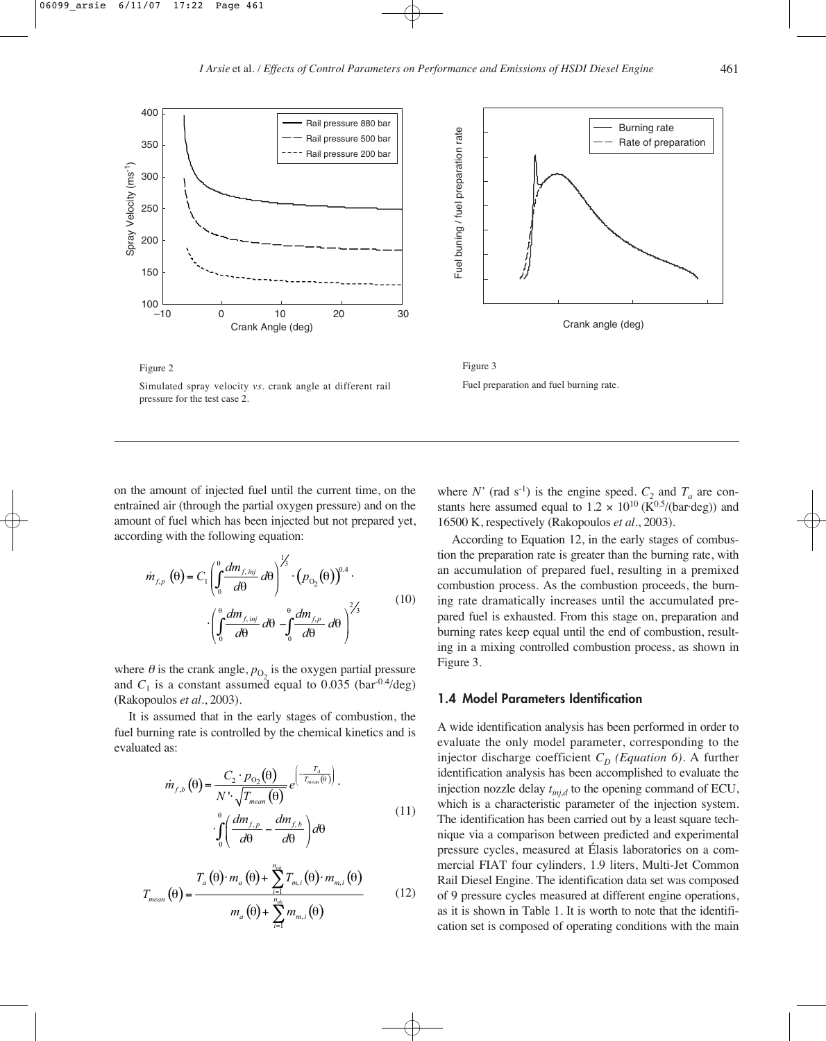





Simulated spray velocity *vs.* crank angle at different rail pressure for the test case 2.

on the amount of injected fuel until the current time, on the entrained air (through the partial oxygen pressure) and on the amount of fuel which has been injected but not prepared yet, according with the following equation:

$$
\dot{m}_{f,p}(\theta) = C_1 \left( \int_0^{\theta} \frac{dm_{f,inj}}{d\theta} d\theta \right)^{1/3} \cdot \left( p_{O_2}(\theta) \right)^{0.4} \cdot \left( \int_0^{\theta} \frac{dm_{f,inj}}{d\theta} d\theta - \int_0^{\theta} \frac{dm_{f,p}}{d\theta} d\theta \right)^{2/3}
$$
\n(10)

where  $\theta$  is the crank angle,  $p_{\text{O}_2}$  is the oxygen partial pressure and  $C_1$  is a constant assumed equal to 0.035 (bar<sup>-0.4</sup>/deg) (Rakopoulos *et al*., 2003).

It is assumed that in the early stages of combustion, the fuel burning rate is controlled by the chemical kinetics and is evaluated as:

$$
\dot{m}_{f,b}(\theta) = \frac{C_2 \cdot p_{\mathcal{O}_2}(\theta)}{N' \cdot \sqrt{T_{mean}(\theta)}} e^{\left(-\frac{T_d}{T_{mean}(\theta)}\right)}.
$$
\n
$$
\int_0^{\theta} \left(\frac{dm_{f,p}}{d\theta} - \frac{dm_{f,b}}{d\theta}\right) d\theta
$$
\n(11)

$$
T_{mean}(\theta) = \frac{T_a(\theta) \cdot m_a(\theta) + \sum_{i=1}^{n_{sh}} T_{m,i}(\theta) \cdot m_{m,i}(\theta)}{m_a(\theta) + \sum_{i=1}^{n_{sh}} m_{m,i}(\theta)}
$$
(12)

where *N'* (rad s<sup>-1</sup>) is the engine speed.  $C_2$  and  $T_a$  are constants here assumed equal to  $1.2 \times 10^{10}$  (K<sup>0.5</sup>/(bar·deg)) and 16500 K, respectively (Rakopoulos *et al*., 2003).

According to Equation 12, in the early stages of combustion the preparation rate is greater than the burning rate, with an accumulation of prepared fuel, resulting in a premixed combustion process. As the combustion proceeds, the burning rate dramatically increases until the accumulated prepared fuel is exhausted. From this stage on, preparation and burning rates keep equal until the end of combustion, resulting in a mixing controlled combustion process, as shown in Figure 3.

### 1.4 Model Parameters Identification

A wide identification analysis has been performed in order to evaluate the only model parameter, corresponding to the injector discharge coefficient  $C_D$  *(Equation 6)*. A further identification analysis has been accomplished to evaluate the injection nozzle delay  $t_{inj,d}$  to the opening command of ECU, which is a characteristic parameter of the injection system. The identification has been carried out by a least square technique via a comparison between predicted and experimental pressure cycles, measured at Élasis laboratories on a commercial FIAT four cylinders, 1.9 liters, Multi-Jet Common Rail Diesel Engine. The identification data set was composed of 9 pressure cycles measured at different engine operations, as it is shown in Table 1. It is worth to note that the identification set is composed of operating conditions with the main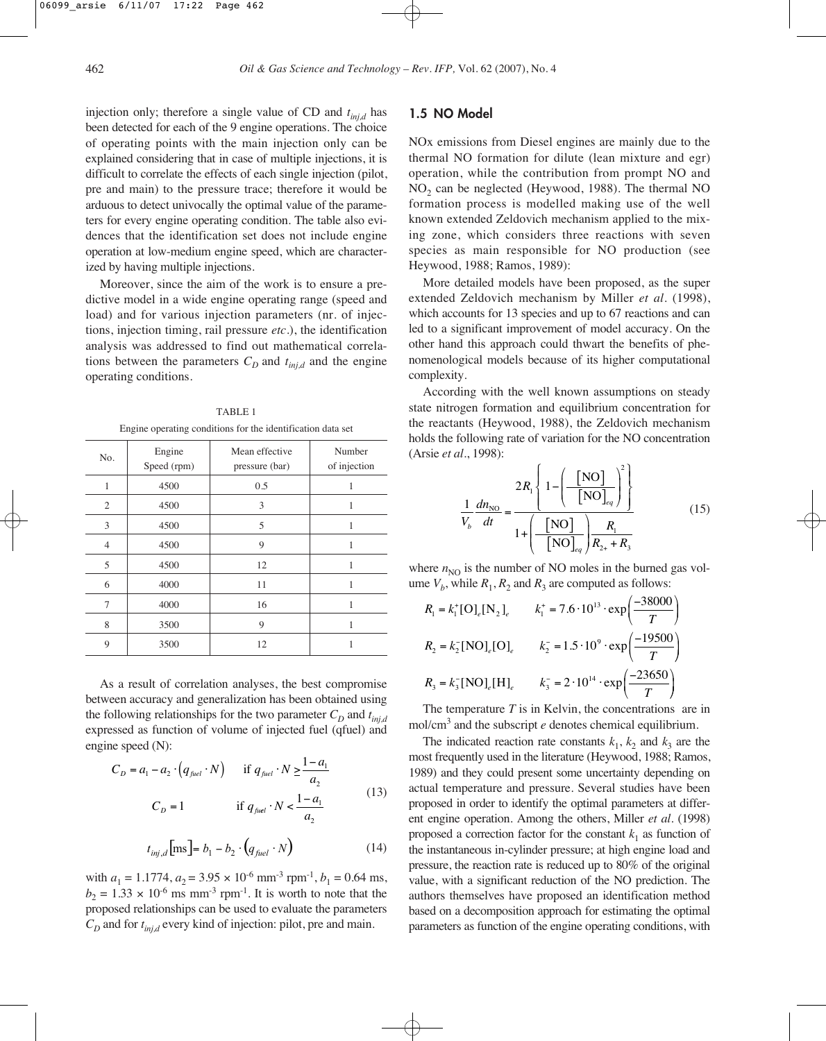injection only; therefore a single value of CD and  $t_{\text{ind}}$  has been detected for each of the 9 engine operations. The choice of operating points with the main injection only can be explained considering that in case of multiple injections, it is difficult to correlate the effects of each single injection (pilot, pre and main) to the pressure trace; therefore it would be arduous to detect univocally the optimal value of the parameters for every engine operating condition. The table also evidences that the identification set does not include engine operation at low-medium engine speed, which are characterized by having multiple injections.

Moreover, since the aim of the work is to ensure a predictive model in a wide engine operating range (speed and load) and for various injection parameters (nr. of injections, injection timing, rail pressure *etc*.), the identification analysis was addressed to find out mathematical correlations between the parameters  $C_D$  and  $t_{ini,d}$  and the engine operating conditions.

TABLE 1 Engine operating conditions for the identification data set

| No.            | Engine<br>Speed (rpm) | Mean effective<br>pressure (bar) | Number<br>of injection |
|----------------|-----------------------|----------------------------------|------------------------|
| 1              | 4500                  | 0.5                              | 1                      |
| 2              | 4500                  | 3                                |                        |
| 3              | 4500                  | 5                                | 1                      |
| $\overline{4}$ | 4500                  | 9                                |                        |
| 5              | 4500                  | 12                               |                        |
| 6              | 4000                  | 11                               |                        |
| 7              | 4000                  | 16                               |                        |
| 8              | 3500                  | 9                                |                        |
| 9              | 3500                  | 12                               |                        |

As a result of correlation analyses, the best compromise between accuracy and generalization has been obtained using the following relationships for the two parameter  $C_D$  and  $t_{\text{ind}}$ expressed as function of volume of injected fuel (qfuel) and engine speed (N):

$$
C_{D} = a_{1} - a_{2} \cdot (q_{\text{fuel}} \cdot N) \quad \text{if } q_{\text{fuel}} \cdot N \ge \frac{1 - a_{1}}{a_{2}}
$$

$$
C_{D} = 1 \quad \text{if } q_{\text{fuel}} \cdot N < \frac{1 - a_{1}}{a_{2}}
$$
(13)

$$
t_{inj,d}[\text{ms}] = b_1 - b_2 \cdot (q_{fuel} \cdot N)
$$
 (14)

with  $a_1 = 1.1774$ ,  $a_2 = 3.95 \times 10^{-6}$  mm<sup>-3</sup> rpm<sup>-1</sup>,  $b_1 = 0.64$  ms,  $b_2 = 1.33 \times 10^{-6}$  ms mm<sup>-3</sup> rpm<sup>-1</sup>. It is worth to note that the proposed relationships can be used to evaluate the parameters  $C_D$  and for  $t_{\text{inj,d}}$  every kind of injection: pilot, pre and main.

### 1.5 NO Model

NOx emissions from Diesel engines are mainly due to the thermal NO formation for dilute (lean mixture and egr) operation, while the contribution from prompt NO and NO<sub>2</sub> can be neglected (Heywood, 1988). The thermal NO formation process is modelled making use of the well known extended Zeldovich mechanism applied to the mixing zone, which considers three reactions with seven species as main responsible for NO production (see Heywood, 1988; Ramos, 1989):

More detailed models have been proposed, as the super extended Zeldovich mechanism by Miller *et al*. (1998), which accounts for 13 species and up to 67 reactions and can led to a significant improvement of model accuracy. On the other hand this approach could thwart the benefits of phenomenological models because of its higher computational complexity.

According with the well known assumptions on steady state nitrogen formation and equilibrium concentration for the reactants (Heywood, 1988), the Zeldovich mechanism holds the following rate of variation for the NO concentration (Arsie *et al*., 1998):

$$
\frac{1}{V_b} \frac{dn_{\text{NO}}}{dt} = \frac{2R_1 \left\{ 1 - \left(\frac{[\text{NO}]}{[\text{NO}]_{eq}}\right)^2 \right\}}{1 + \left(\frac{[\text{NO}]}{[\text{NO}]_{eq}}\right) \frac{R_1}{R_{2+} + R_3}}
$$
(15)

where  $n_{\text{NO}}$  is the number of NO moles in the burned gas volume  $V_b$ , while  $R_1, R_2$  and  $R_3$  are computed as follows:

$$
R_1 = k_1^+ [O]_e [N_2]_e \qquad k_1^+ = 7.6 \cdot 10^{13} \cdot \exp\left(\frac{-38000}{T}\right)
$$
  
\n
$$
R_2 = k_2^- [NO]_e [O]_e \qquad k_2^- = 1.5 \cdot 10^9 \cdot \exp\left(\frac{-19500}{T}\right)
$$
  
\n
$$
R_3 = k_3^- [NO]_e [H]_e \qquad k_3^- = 2 \cdot 10^{14} \cdot \exp\left(\frac{-23650}{T}\right)
$$

The temperature *T* is in Kelvin, the concentrations are in mol/cm<sup>3</sup> and the subscript *e* denotes chemical equilibrium.

The indicated reaction rate constants  $k_1$ ,  $k_2$  and  $k_3$  are the most frequently used in the literature (Heywood, 1988; Ramos, 1989) and they could present some uncertainty depending on actual temperature and pressure. Several studies have been proposed in order to identify the optimal parameters at different engine operation. Among the others, Miller *et al*. (1998) proposed a correction factor for the constant  $k_1$  as function of the instantaneous in-cylinder pressure; at high engine load and pressure, the reaction rate is reduced up to 80% of the original value, with a significant reduction of the NO prediction. The authors themselves have proposed an identification method based on a decomposition approach for estimating the optimal parameters as function of the engine operating conditions, with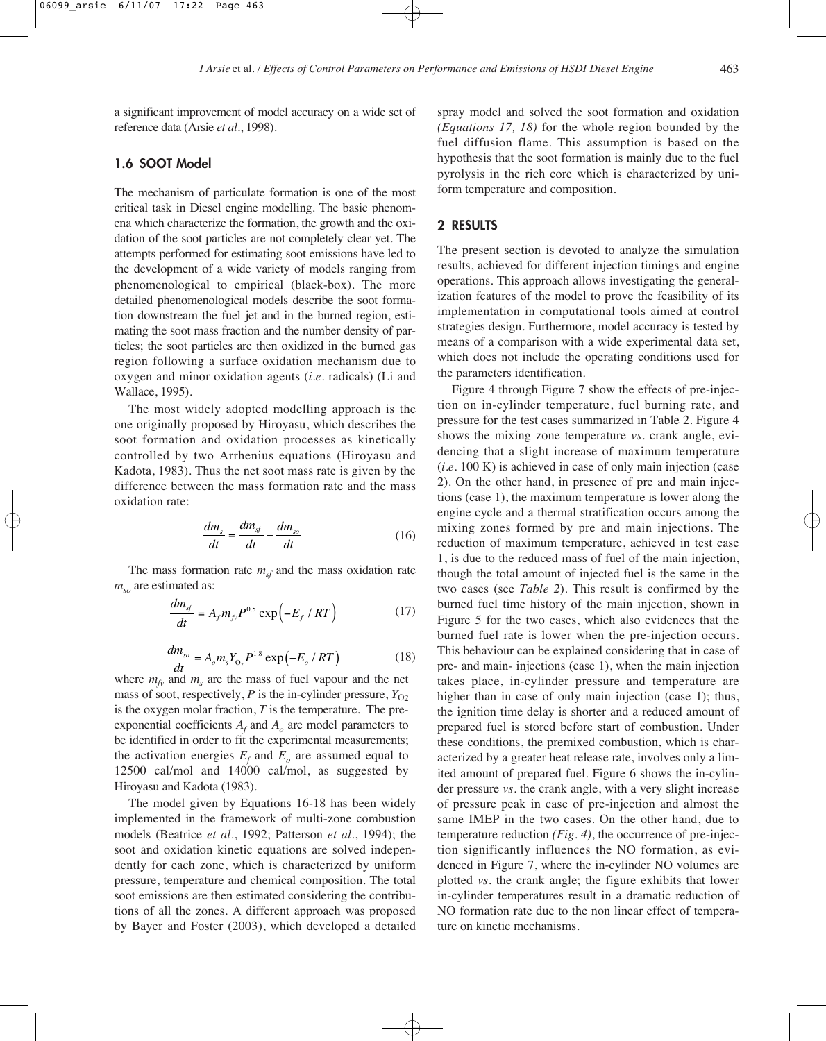a significant improvement of model accuracy on a wide set of reference data (Arsie *et al*., 1998).

# 1.6 SOOT Model

The mechanism of particulate formation is one of the most critical task in Diesel engine modelling. The basic phenomena which characterize the formation, the growth and the oxidation of the soot particles are not completely clear yet. The attempts performed for estimating soot emissions have led to the development of a wide variety of models ranging from phenomenological to empirical (black-box). The more detailed phenomenological models describe the soot formation downstream the fuel jet and in the burned region, estimating the soot mass fraction and the number density of particles; the soot particles are then oxidized in the burned gas region following a surface oxidation mechanism due to oxygen and minor oxidation agents (*i*.*e*. radicals) (Li and Wallace, 1995).

The most widely adopted modelling approach is the one originally proposed by Hiroyasu, which describes the soot formation and oxidation processes as kinetically controlled by two Arrhenius equations (Hiroyasu and Kadota, 1983). Thus the net soot mass rate is given by the difference between the mass formation rate and the mass oxidation rate:

$$
\frac{dm_s}{dt} = \frac{dm_{sf}}{dt} - \frac{dm_{so}}{dt} \tag{16}
$$

The mass formation rate  $m_{sf}$  and the mass oxidation rate *mso* are estimated as:

$$
\frac{dm_{sf}}{dt} = A_f m_{fv} P^{0.5} \exp\left(-E_f / RT\right) \tag{17}
$$

$$
\frac{dm_{so}}{dt} = A_o m_s Y_{O_2} P^{1.8} \exp(-E_o / RT)
$$
 (18)

where  $m_{f\nu}$  and  $m_s$  are the mass of fuel vapour and the net mass of soot, respectively,  $P$  is the in-cylinder pressure,  $Y_{O_2}$ is the oxygen molar fraction, *T* is the temperature. The preexponential coefficients  $A_f$  and  $A_o$  are model parameters to be identified in order to fit the experimental measurements; the activation energies  $E_f$  and  $E_o$  are assumed equal to 12500 cal/mol and 14000 cal/mol, as suggested by Hiroyasu and Kadota (1983).

The model given by Equations 16-18 has been widely implemented in the framework of multi-zone combustion models (Beatrice *et al*., 1992; Patterson *et al*., 1994); the soot and oxidation kinetic equations are solved independently for each zone, which is characterized by uniform pressure, temperature and chemical composition. The total soot emissions are then estimated considering the contributions of all the zones. A different approach was proposed by Bayer and Foster (2003), which developed a detailed spray model and solved the soot formation and oxidation *(Equations 17, 18)* for the whole region bounded by the fuel diffusion flame. This assumption is based on the hypothesis that the soot formation is mainly due to the fuel pyrolysis in the rich core which is characterized by uniform temperature and composition.

# 2 RESULTS

The present section is devoted to analyze the simulation results, achieved for different injection timings and engine operations. This approach allows investigating the generalization features of the model to prove the feasibility of its implementation in computational tools aimed at control strategies design. Furthermore, model accuracy is tested by means of a comparison with a wide experimental data set, which does not include the operating conditions used for the parameters identification.

Figure 4 through Figure 7 show the effects of pre-injection on in-cylinder temperature, fuel burning rate, and pressure for the test cases summarized in Table 2. Figure 4 shows the mixing zone temperature *vs*. crank angle, evidencing that a slight increase of maximum temperature (*i*.*e*. 100 K) is achieved in case of only main injection (case 2). On the other hand, in presence of pre and main injections (case 1), the maximum temperature is lower along the engine cycle and a thermal stratification occurs among the mixing zones formed by pre and main injections. The reduction of maximum temperature, achieved in test case 1, is due to the reduced mass of fuel of the main injection, though the total amount of injected fuel is the same in the two cases (see *Table 2*). This result is confirmed by the burned fuel time history of the main injection, shown in Figure 5 for the two cases, which also evidences that the burned fuel rate is lower when the pre-injection occurs. This behaviour can be explained considering that in case of pre- and main- injections (case 1), when the main injection takes place, in-cylinder pressure and temperature are higher than in case of only main injection (case 1); thus, the ignition time delay is shorter and a reduced amount of prepared fuel is stored before start of combustion. Under these conditions, the premixed combustion, which is characterized by a greater heat release rate, involves only a limited amount of prepared fuel. Figure 6 shows the in-cylinder pressure *vs*. the crank angle, with a very slight increase of pressure peak in case of pre-injection and almost the same IMEP in the two cases. On the other hand, due to temperature reduction *(Fig. 4)*, the occurrence of pre-injection significantly influences the NO formation, as evidenced in Figure 7, where the in-cylinder NO volumes are plotted *vs*. the crank angle; the figure exhibits that lower in-cylinder temperatures result in a dramatic reduction of NO formation rate due to the non linear effect of temperature on kinetic mechanisms.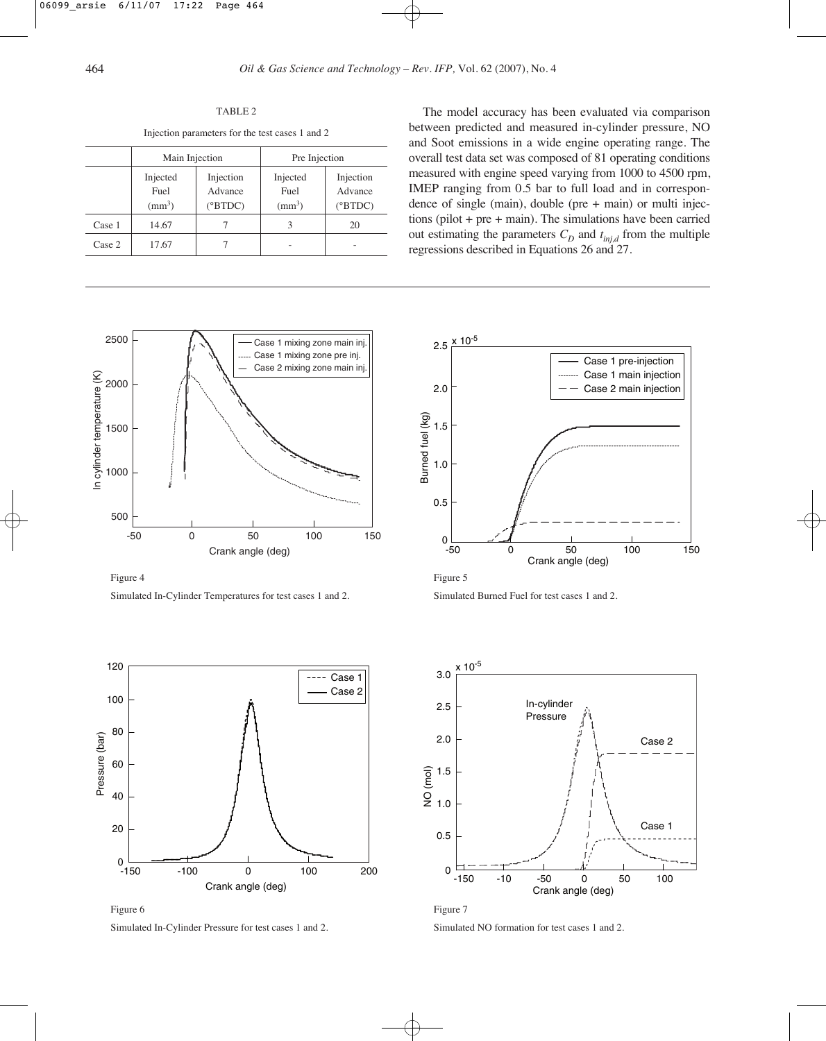TABLE 2

Injection parameters for the test cases 1 and 2

|        | Main Injection                       |                                           | Pre Injection                    |                                           |
|--------|--------------------------------------|-------------------------------------------|----------------------------------|-------------------------------------------|
|        | Injected<br>Fuel<br>$\text{ (mm}^3)$ | Injection<br>Advance<br>$(^{\circ}B TDC)$ | Injected<br>Fuel<br>$\text{m}^3$ | Injection<br>Advance<br>$(^{\circ}B TDC)$ |
| Case 1 | 14.67                                |                                           | 3                                | 20                                        |
| Case 2 | 17.67                                |                                           |                                  |                                           |



Figure 4 Simulated In-Cylinder Temperatures for test cases 1 and 2.



Figure 6 Simulated In-Cylinder Pressure for test cases 1 and 2.

The model accuracy has been evaluated via comparison between predicted and measured in-cylinder pressure, NO and Soot emissions in a wide engine operating range. The overall test data set was composed of 81 operating conditions measured with engine speed varying from 1000 to 4500 rpm, IMEP ranging from 0.5 bar to full load and in correspondence of single (main), double (pre + main) or multi injections (pilot + pre + main). The simulations have been carried out estimating the parameters  $C_D$  and  $t_{inj,d}$  from the multiple regressions described in Equations 26 and 27.



Figure 5

Simulated Burned Fuel for test cases 1 and 2.





Simulated NO formation for test cases 1 and 2.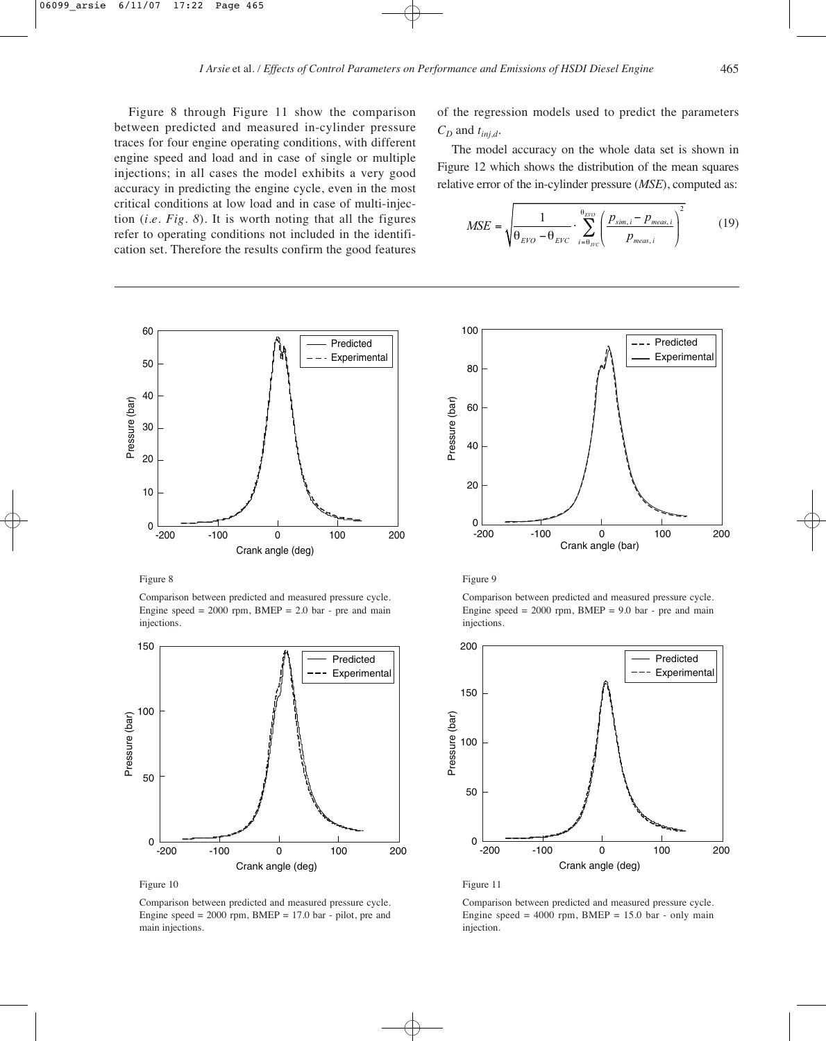Figure 8 through Figure 11 show the comparison between predicted and measured in-cylinder pressure traces for four engine operating conditions, with different engine speed and load and in case of single or multiple injections; in all cases the model exhibits a very good accuracy in predicting the engine cycle, even in the most critical conditions at low load and in case of multi-injection (*i*.*e*. *Fig. 8*). It is worth noting that all the figures refer to operating conditions not included in the identification set. Therefore the results confirm the good features of the regression models used to predict the parameters  $C_D$  and  $t_{ini,d}$ .

The model accuracy on the whole data set is shown in Figure 12 which shows the distribution of the mean squares relative error of the in-cylinder pressure (*MSE*), computed as:

$$
MSE = \sqrt{\frac{1}{\theta_{EVO} - \theta_{EVC}} \cdot \sum_{i=\theta_{IVC}}^{\theta_{EVO}} \left(\frac{p_{sim,i} - p_{meas,i}}{p_{meas,i}}\right)^2}
$$
(19)



#### Figure 9

Comparison between predicted and measured pressure cycle. Engine speed  $= 2000$  rpm, BMEP  $= 9.0$  bar - pre and main injections.









Figure 8

Comparison between predicted and measured pressure cycle. Engine speed =  $2000$  rpm, BMEP =  $2.0$  bar - pre and main injections.



Figure 10

Comparison between predicted and measured pressure cycle. Engine speed =  $2000$  rpm, BMEP =  $17.0$  bar - pilot, pre and main injections.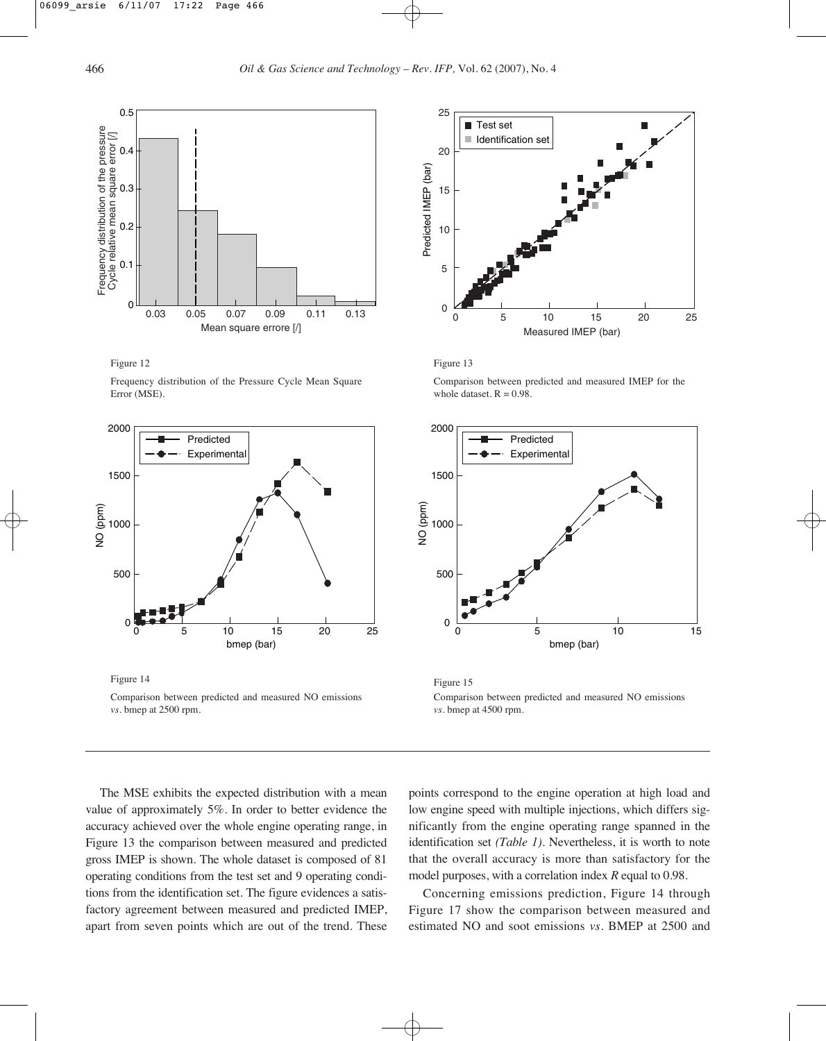

Figure 12

Frequency distribution of the Pressure Cycle Mean Square Error (MSE).



Figure 14

Comparison between predicted and measured NO emissions *vs.* bmep at 2500 rpm.





Comparison between predicted and measured IMEP for the whole dataset.  $R = 0.98$ .



Figure 15 Comparison between predicted and measured NO emissions *vs.* bmep at 4500 rpm.

The MSE exhibits the expected distribution with a mean value of approximately 5%. In order to better evidence the accuracy achieved over the whole engine operating range, in Figure 13 the comparison between measured and predicted gross IMEP is shown. The whole dataset is composed of 81 operating conditions from the test set and 9 operating conditions from the identification set. The figure evidences a satisfactory agreement between measured and predicted IMEP, apart from seven points which are out of the trend. These points correspond to the engine operation at high load and low engine speed with multiple injections, which differs significantly from the engine operating range spanned in the identification set *(Table 1)*. Nevertheless, it is worth to note that the overall accuracy is more than satisfactory for the model purposes, with a correlation index *R* equal to 0.98.

Concerning emissions prediction, Figure 14 through Figure 17 show the comparison between measured and estimated NO and soot emissions *vs*. BMEP at 2500 and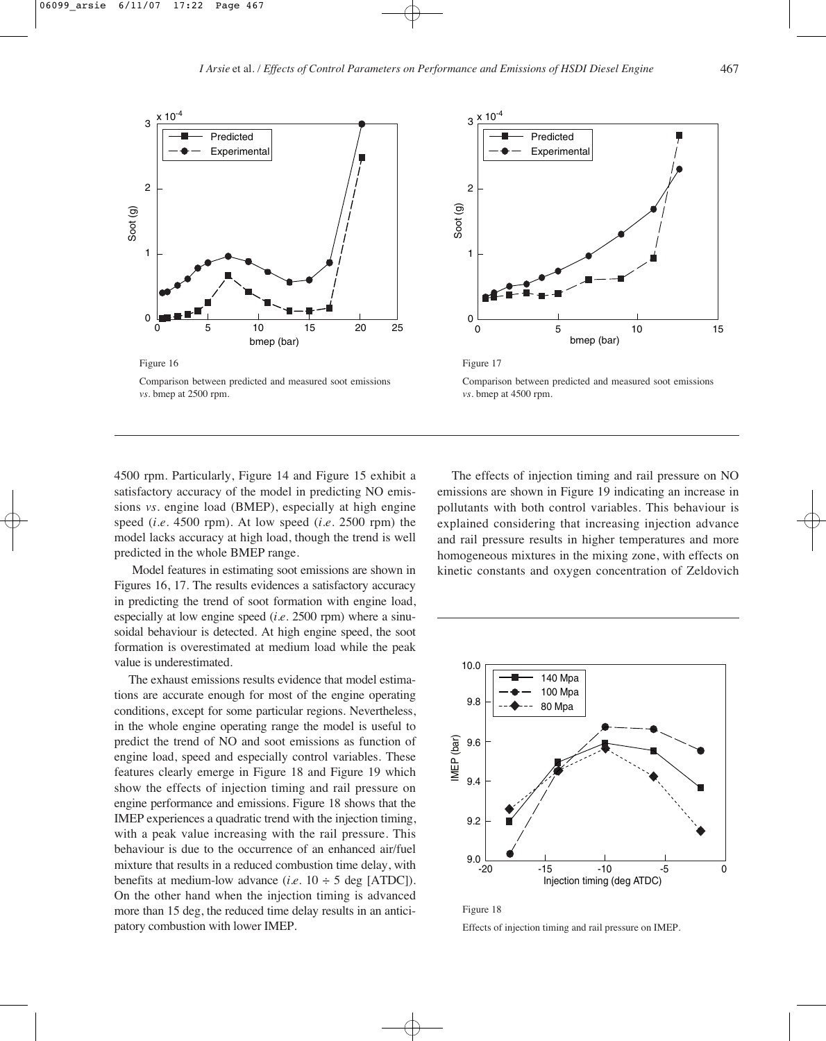



Comparison between predicted and measured soot emissions *vs.* bmep at 4500 rpm.

4500 rpm. Particularly, Figure 14 and Figure 15 exhibit a satisfactory accuracy of the model in predicting NO emissions *vs*. engine load (BMEP), especially at high engine speed (*i*.*e*. 4500 rpm). At low speed (*i*.*e*. 2500 rpm) the model lacks accuracy at high load, though the trend is well predicted in the whole BMEP range.

Model features in estimating soot emissions are shown in Figures 16, 17. The results evidences a satisfactory accuracy in predicting the trend of soot formation with engine load, especially at low engine speed (*i*.*e*. 2500 rpm) where a sinusoidal behaviour is detected. At high engine speed, the soot formation is overestimated at medium load while the peak value is underestimated.

The exhaust emissions results evidence that model estimations are accurate enough for most of the engine operating conditions, except for some particular regions. Nevertheless, in the whole engine operating range the model is useful to predict the trend of NO and soot emissions as function of engine load, speed and especially control variables. These features clearly emerge in Figure 18 and Figure 19 which show the effects of injection timing and rail pressure on engine performance and emissions. Figure 18 shows that the IMEP experiences a quadratic trend with the injection timing, with a peak value increasing with the rail pressure. This behaviour is due to the occurrence of an enhanced air/fuel mixture that results in a reduced combustion time delay, with benefits at medium-low advance (*i.e.*  $10 \div 5$  deg [ATDC]). On the other hand when the injection timing is advanced more than 15 deg, the reduced time delay results in an anticipatory combustion with lower IMEP.

The effects of injection timing and rail pressure on NO emissions are shown in Figure 19 indicating an increase in pollutants with both control variables. This behaviour is explained considering that increasing injection advance and rail pressure results in higher temperatures and more homogeneous mixtures in the mixing zone, with effects on kinetic constants and oxygen concentration of Zeldovich





Effects of injection timing and rail pressure on IMEP.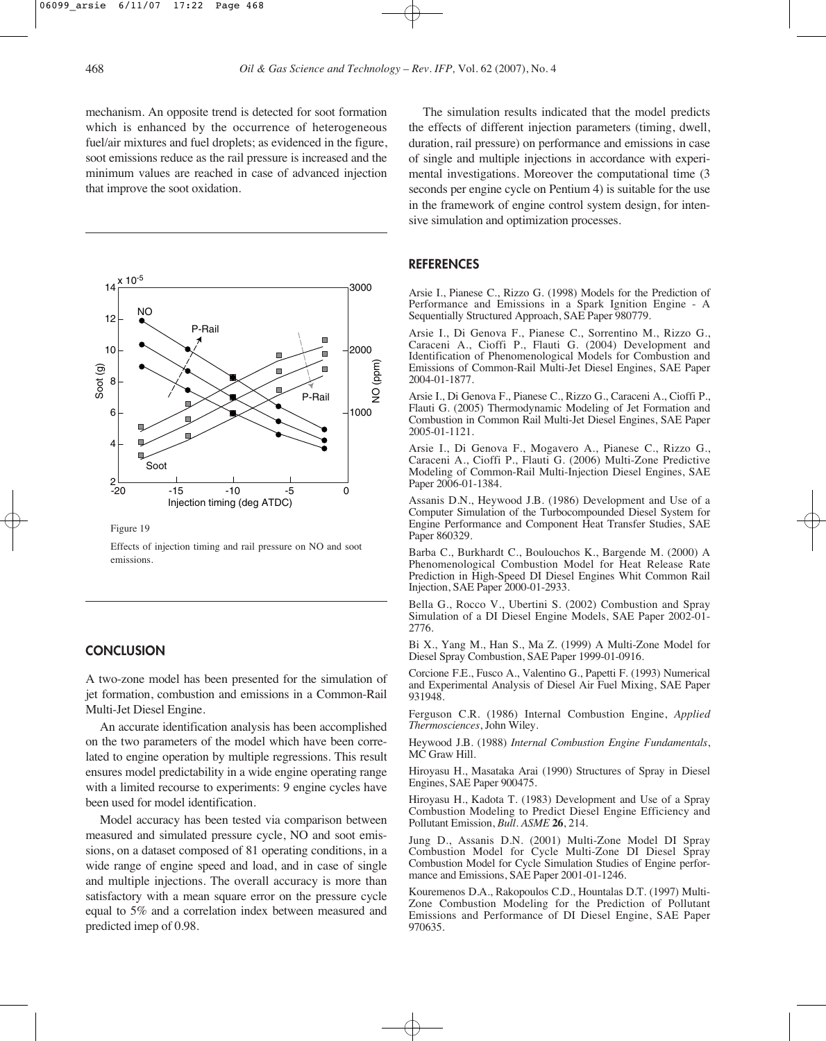mechanism. An opposite trend is detected for soot formation which is enhanced by the occurrence of heterogeneous fuel/air mixtures and fuel droplets; as evidenced in the figure, soot emissions reduce as the rail pressure is increased and the minimum values are reached in case of advanced injection that improve the soot oxidation.



Figure 19

Effects of injection timing and rail pressure on NO and soot emissions.

# **CONCLUSION**

A two-zone model has been presented for the simulation of jet formation, combustion and emissions in a Common-Rail Multi-Jet Diesel Engine.

An accurate identification analysis has been accomplished on the two parameters of the model which have been correlated to engine operation by multiple regressions. This result ensures model predictability in a wide engine operating range with a limited recourse to experiments: 9 engine cycles have been used for model identification.

Model accuracy has been tested via comparison between measured and simulated pressure cycle, NO and soot emissions, on a dataset composed of 81 operating conditions, in a wide range of engine speed and load, and in case of single and multiple injections. The overall accuracy is more than satisfactory with a mean square error on the pressure cycle equal to 5% and a correlation index between measured and predicted imep of 0.98.

The simulation results indicated that the model predicts the effects of different injection parameters (timing, dwell, duration, rail pressure) on performance and emissions in case of single and multiple injections in accordance with experimental investigations. Moreover the computational time (3 seconds per engine cycle on Pentium 4) is suitable for the use in the framework of engine control system design, for intensive simulation and optimization processes.

### **REFERENCES**

Arsie I., Pianese C., Rizzo G. (1998) Models for the Prediction of Performance and Emissions in a Spark Ignition Engine - A Sequentially Structured Approach, SAE Paper 980779.

Arsie I., Di Genova F., Pianese C., Sorrentino M., Rizzo G., Caraceni A., Cioffi P., Flauti G. (2004) Development and Identification of Phenomenological Models for Combustion and Emissions of Common-Rail Multi-Jet Diesel Engines, SAE Paper 2004-01-1877.

Arsie I., Di Genova F., Pianese C., Rizzo G., Caraceni A., Cioffi P., Flauti G. (2005) Thermodynamic Modeling of Jet Formation and Combustion in Common Rail Multi-Jet Diesel Engines, SAE Paper 2005-01-1121.

Arsie I., Di Genova F., Mogavero A., Pianese C., Rizzo G., Caraceni A., Cioffi P., Flauti G. (2006) Multi-Zone Predictive Modeling of Common-Rail Multi-Injection Diesel Engines, SAE Paper 2006-01-1384.

Assanis D.N., Heywood J.B. (1986) Development and Use of a Computer Simulation of the Turbocompounded Diesel System for Engine Performance and Component Heat Transfer Studies, SAE Paper 860329.

Barba C., Burkhardt C., Boulouchos K., Bargende M. (2000) A Phenomenological Combustion Model for Heat Release Rate Prediction in High-Speed DI Diesel Engines Whit Common Rail Injection, SAE Paper 2000-01-2933.

Bella G., Rocco V., Ubertini S. (2002) Combustion and Spray Simulation of a DI Diesel Engine Models, SAE Paper 2002-01- 2776.

Bi X., Yang M., Han S., Ma Z. (1999) A Multi-Zone Model for Diesel Spray Combustion, SAE Paper 1999-01-0916.

Corcione F.E., Fusco A., Valentino G., Papetti F. (1993) Numerical and Experimental Analysis of Diesel Air Fuel Mixing, SAE Paper 931948.

Ferguson C.R. (1986) Internal Combustion Engine, *Applied Thermosciences*, John Wiley.

Heywood J.B. (1988) *Internal Combustion Engine Fundamentals*, MC Graw Hill.

Hiroyasu H., Masataka Arai (1990) Structures of Spray in Diesel Engines, SAE Paper 900475.

Hiroyasu H., Kadota T. (1983) Development and Use of a Spray Combustion Modeling to Predict Diesel Engine Efficiency and Pollutant Emission, *Bull. ASME* **26**, 214.

Jung D., Assanis D.N. (2001) Multi-Zone Model DI Spray Combustion Model for Cycle Multi-Zone DI Diesel Spray Combustion Model for Cycle Simulation Studies of Engine performance and Emissions, SAE Paper 2001-01-1246.

Kouremenos D.A., Rakopoulos C.D., Hountalas D.T. (1997) Multi-Zone Combustion Modeling for the Prediction of Pollutant Emissions and Performance of DI Diesel Engine, SAE Paper 970635.